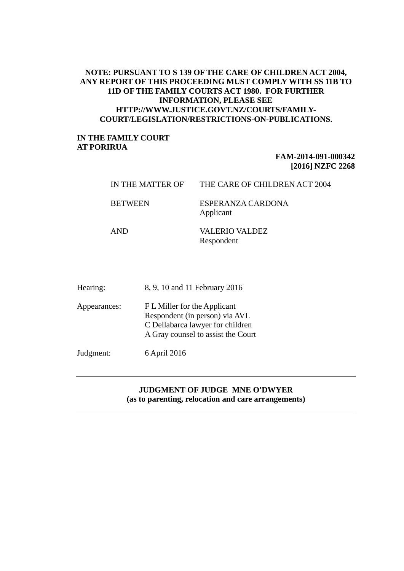# **NOTE: PURSUANT TO S 139 OF THE CARE OF CHILDREN ACT 2004, ANY REPORT OF THIS PROCEEDING MUST COMPLY WITH SS 11B TO 11D OF THE FAMILY COURTS ACT 1980. FOR FURTHER INFORMATION, PLEASE SEE HTTP://WWW.JUSTICE.GOVT.NZ/COURTS/FAMILY-COURT/LEGISLATION/RESTRICTIONS-ON-PUBLICATIONS.**

## **IN THE FAMILY COURT AT PORIRUA**

# **FAM-2014-091-000342 [2016] NZFC 2268**

| IN THE MATTER OF | THE CARE OF CHILDREN ACT 2004       |
|------------------|-------------------------------------|
| <b>BETWEEN</b>   | ESPERANZA CARDONA<br>Applicant      |
| AND              | <b>VALERIO VALDEZ</b><br>Respondent |

| Hearing:     | 8, 9, 10 and 11 February 2016                                                                                                            |
|--------------|------------------------------------------------------------------------------------------------------------------------------------------|
| Appearances: | F L Miller for the Applicant<br>Respondent (in person) via AVL<br>C Dellabarca lawyer for children<br>A Gray counsel to assist the Court |
| Judgment:    | 6 April 2016                                                                                                                             |

## **JUDGMENT OF JUDGE MNE O'DWYER (as to parenting, relocation and care arrangements)**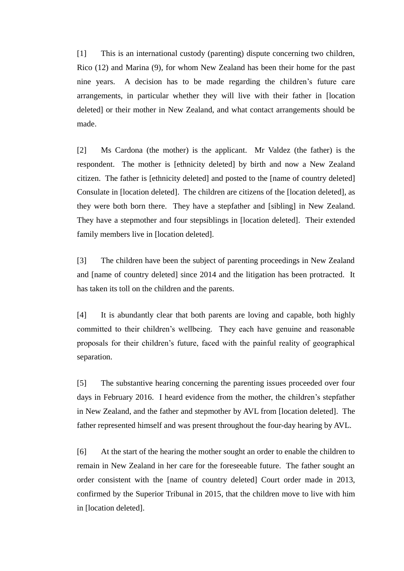[1] This is an international custody (parenting) dispute concerning two children, Rico (12) and Marina (9), for whom New Zealand has been their home for the past nine years. A decision has to be made regarding the children's future care arrangements, in particular whether they will live with their father in [location deleted] or their mother in New Zealand, and what contact arrangements should be made.

[2] Ms Cardona (the mother) is the applicant. Mr Valdez (the father) is the respondent. The mother is [ethnicity deleted] by birth and now a New Zealand citizen. The father is [ethnicity deleted] and posted to the [name of country deleted] Consulate in [location deleted]. The children are citizens of the [location deleted], as they were both born there. They have a stepfather and [sibling] in New Zealand. They have a stepmother and four stepsiblings in [location deleted]. Their extended family members live in [location deleted].

[3] The children have been the subject of parenting proceedings in New Zealand and [name of country deleted] since 2014 and the litigation has been protracted. It has taken its toll on the children and the parents.

[4] It is abundantly clear that both parents are loving and capable, both highly committed to their children's wellbeing. They each have genuine and reasonable proposals for their children's future, faced with the painful reality of geographical separation.

[5] The substantive hearing concerning the parenting issues proceeded over four days in February 2016. I heard evidence from the mother, the children's stepfather in New Zealand, and the father and stepmother by AVL from [location deleted]. The father represented himself and was present throughout the four-day hearing by AVL.

[6] At the start of the hearing the mother sought an order to enable the children to remain in New Zealand in her care for the foreseeable future. The father sought an order consistent with the [name of country deleted] Court order made in 2013, confirmed by the Superior Tribunal in 2015, that the children move to live with him in [location deleted].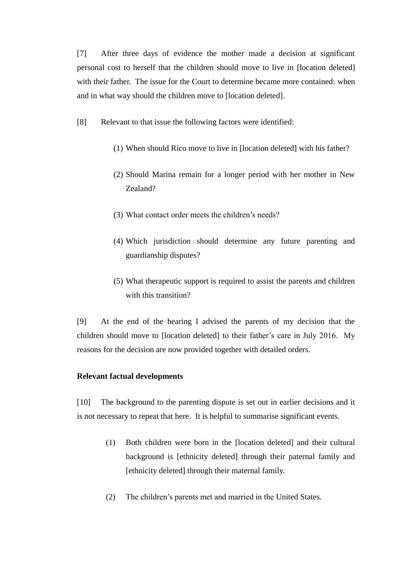[7] After three days of evidence the mother made a decision at significant personal cost to herself that the children should move to live in [location deleted] with their father. The issue for the Court to determine became more contained: when and in what way should the children move to [location deleted].

[8] Relevant to that issue the following factors were identified:

- (1) When should Rico move to live in [location deleted] with his father?
- (2) Should Marina remain for a longer period with her mother in New Zealand?
- (3) What contact order meets the children's needs?
- (4) Which jurisdiction should determine any future parenting and guardianship disputes?
- (5) What therapeutic support is required to assist the parents and children with this transition?

[9] At the end of the hearing I advised the parents of my decision that the children should move to [location deleted] to their father's care in July 2016. My reasons for the decision are now provided together with detailed orders.

## **Relevant factual developments**

[10] The background to the parenting dispute is set out in earlier decisions and it is not necessary to repeat that here. It is helpful to summarise significant events.

- (1) Both children were born in the [location deleted] and their cultural background is [ethnicity deleted] through their paternal family and [ethnicity deleted] through their maternal family.
- (2) The children's parents met and married in the United States.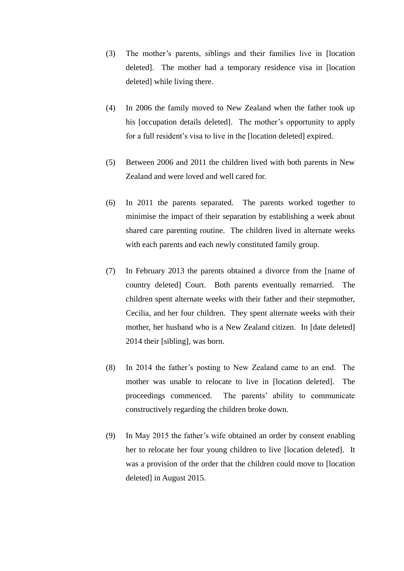- (3) The mother's parents, siblings and their families live in [location deleted]. The mother had a temporary residence visa in [location deleted] while living there.
- (4) In 2006 the family moved to New Zealand when the father took up his [occupation details deleted]. The mother's opportunity to apply for a full resident's visa to live in the [location deleted] expired.
- (5) Between 2006 and 2011 the children lived with both parents in New Zealand and were loved and well cared for.
- (6) In 2011 the parents separated. The parents worked together to minimise the impact of their separation by establishing a week about shared care parenting routine. The children lived in alternate weeks with each parents and each newly constituted family group.
- (7) In February 2013 the parents obtained a divorce from the [name of country deleted] Court. Both parents eventually remarried. The children spent alternate weeks with their father and their stepmother, Cecilia, and her four children. They spent alternate weeks with their mother, her husband who is a New Zealand citizen. In [date deleted] 2014 their [sibling], was born.
- (8) In 2014 the father's posting to New Zealand came to an end. The mother was unable to relocate to live in [location deleted]. The proceedings commenced. The parents' ability to communicate constructively regarding the children broke down.
- (9) In May 2015 the father's wife obtained an order by consent enabling her to relocate her four young children to live [location deleted]. It was a provision of the order that the children could move to [location deleted] in August 2015.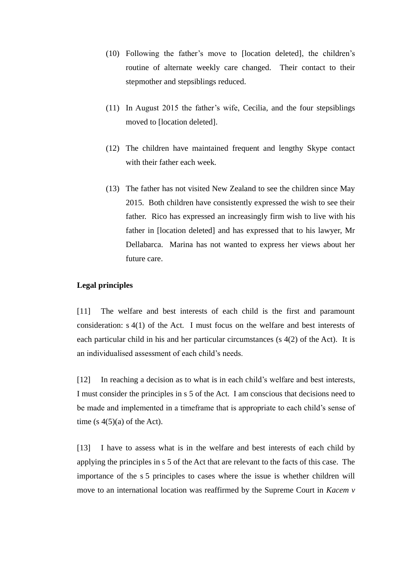- (10) Following the father's move to [location deleted], the children's routine of alternate weekly care changed. Their contact to their stepmother and stepsiblings reduced.
- (11) In August 2015 the father's wife, Cecilia, and the four stepsiblings moved to [location deleted].
- (12) The children have maintained frequent and lengthy Skype contact with their father each week.
- (13) The father has not visited New Zealand to see the children since May 2015. Both children have consistently expressed the wish to see their father. Rico has expressed an increasingly firm wish to live with his father in [location deleted] and has expressed that to his lawyer, Mr Dellabarca. Marina has not wanted to express her views about her future care.

## **Legal principles**

[11] The welfare and best interests of each child is the first and paramount consideration: s 4(1) of the Act. I must focus on the welfare and best interests of each particular child in his and her particular circumstances (s 4(2) of the Act). It is an individualised assessment of each child's needs.

[12] In reaching a decision as to what is in each child's welfare and best interests, I must consider the principles in s 5 of the Act. I am conscious that decisions need to be made and implemented in a timeframe that is appropriate to each child's sense of time  $(s 4(5)(a)$  of the Act).

[13] I have to assess what is in the welfare and best interests of each child by applying the principles in s 5 of the Act that are relevant to the facts of this case. The importance of the s 5 principles to cases where the issue is whether children will move to an international location was reaffirmed by the Supreme Court in *Kacem v*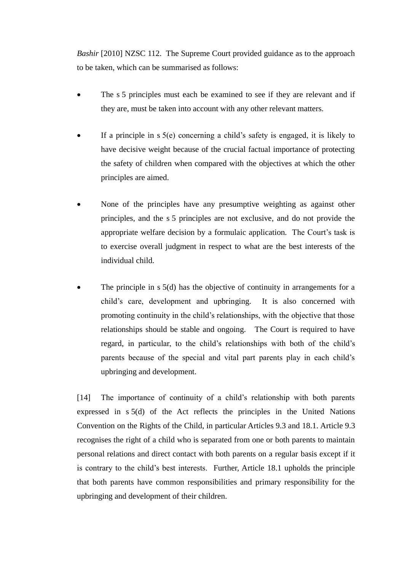*Bashir* [2010] NZSC 112. The Supreme Court provided guidance as to the approach to be taken, which can be summarised as follows:

- The s 5 principles must each be examined to see if they are relevant and if they are, must be taken into account with any other relevant matters.
- If a principle in s 5(e) concerning a child's safety is engaged, it is likely to have decisive weight because of the crucial factual importance of protecting the safety of children when compared with the objectives at which the other principles are aimed.
- None of the principles have any presumptive weighting as against other principles, and the s 5 principles are not exclusive, and do not provide the appropriate welfare decision by a formulaic application. The Court's task is to exercise overall judgment in respect to what are the best interests of the individual child.
- The principle in s 5(d) has the objective of continuity in arrangements for a child's care, development and upbringing. It is also concerned with promoting continuity in the child's relationships, with the objective that those relationships should be stable and ongoing. The Court is required to have regard, in particular, to the child's relationships with both of the child's parents because of the special and vital part parents play in each child's upbringing and development.

[14] The importance of continuity of a child's relationship with both parents expressed in s 5(d) of the Act reflects the principles in the United Nations Convention on the Rights of the Child, in particular Articles 9.3 and 18.1. Article 9.3 recognises the right of a child who is separated from one or both parents to maintain personal relations and direct contact with both parents on a regular basis except if it is contrary to the child's best interests. Further, Article 18.1 upholds the principle that both parents have common responsibilities and primary responsibility for the upbringing and development of their children.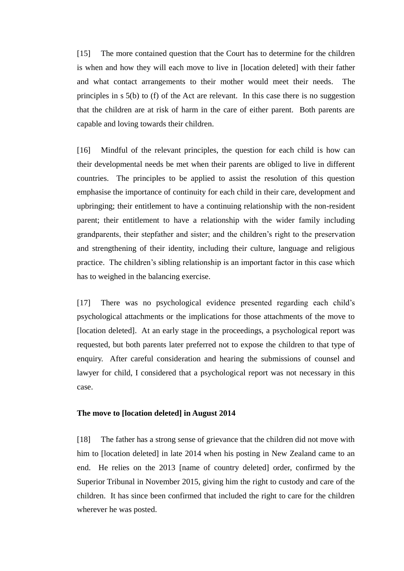[15] The more contained question that the Court has to determine for the children is when and how they will each move to live in [location deleted] with their father and what contact arrangements to their mother would meet their needs. The principles in s 5(b) to (f) of the Act are relevant. In this case there is no suggestion that the children are at risk of harm in the care of either parent. Both parents are capable and loving towards their children.

[16] Mindful of the relevant principles, the question for each child is how can their developmental needs be met when their parents are obliged to live in different countries. The principles to be applied to assist the resolution of this question emphasise the importance of continuity for each child in their care, development and upbringing; their entitlement to have a continuing relationship with the non-resident parent; their entitlement to have a relationship with the wider family including grandparents, their stepfather and sister; and the children's right to the preservation and strengthening of their identity, including their culture, language and religious practice. The children's sibling relationship is an important factor in this case which has to weighed in the balancing exercise.

[17] There was no psychological evidence presented regarding each child's psychological attachments or the implications for those attachments of the move to [location deleted]. At an early stage in the proceedings, a psychological report was requested, but both parents later preferred not to expose the children to that type of enquiry. After careful consideration and hearing the submissions of counsel and lawyer for child, I considered that a psychological report was not necessary in this case.

#### **The move to [location deleted] in August 2014**

[18] The father has a strong sense of grievance that the children did not move with him to [location deleted] in late 2014 when his posting in New Zealand came to an end. He relies on the 2013 [name of country deleted] order, confirmed by the Superior Tribunal in November 2015, giving him the right to custody and care of the children. It has since been confirmed that included the right to care for the children wherever he was posted.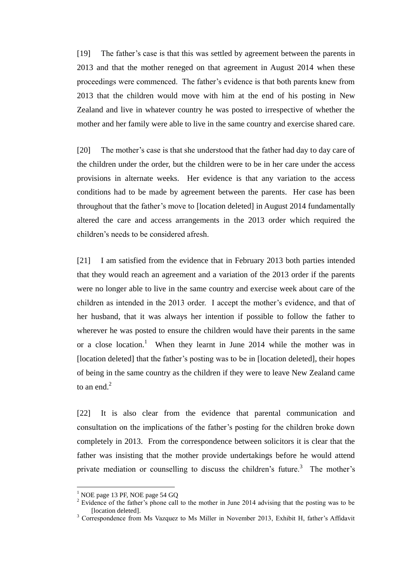[19] The father's case is that this was settled by agreement between the parents in 2013 and that the mother reneged on that agreement in August 2014 when these proceedings were commenced. The father's evidence is that both parents knew from 2013 that the children would move with him at the end of his posting in New Zealand and live in whatever country he was posted to irrespective of whether the mother and her family were able to live in the same country and exercise shared care.

[20] The mother's case is that she understood that the father had day to day care of the children under the order, but the children were to be in her care under the access provisions in alternate weeks. Her evidence is that any variation to the access conditions had to be made by agreement between the parents. Her case has been throughout that the father's move to [location deleted] in August 2014 fundamentally altered the care and access arrangements in the 2013 order which required the children's needs to be considered afresh.

[21] I am satisfied from the evidence that in February 2013 both parties intended that they would reach an agreement and a variation of the 2013 order if the parents were no longer able to live in the same country and exercise week about care of the children as intended in the 2013 order. I accept the mother's evidence, and that of her husband, that it was always her intention if possible to follow the father to wherever he was posted to ensure the children would have their parents in the same or a close location.<sup>1</sup> When they learnt in June 2014 while the mother was in [location deleted] that the father's posting was to be in [location deleted], their hopes of being in the same country as the children if they were to leave New Zealand came to an end $<sup>2</sup>$ </sup>

[22] It is also clear from the evidence that parental communication and consultation on the implications of the father's posting for the children broke down completely in 2013. From the correspondence between solicitors it is clear that the father was insisting that the mother provide undertakings before he would attend private mediation or counselling to discuss the children's future.<sup>3</sup> The mother's

 $\overline{a}$ 

 $<sup>1</sup>$  NOE page 13 PF, NOE page 54 GQ</sup>

<sup>&</sup>lt;sup>2</sup> Evidence of the father's phone call to the mother in June 2014 advising that the posting was to be [location deleted].

<sup>&</sup>lt;sup>3</sup> Correspondence from Ms Vazquez to Ms Miller in November 2013, Exhibit H, father's Affidavit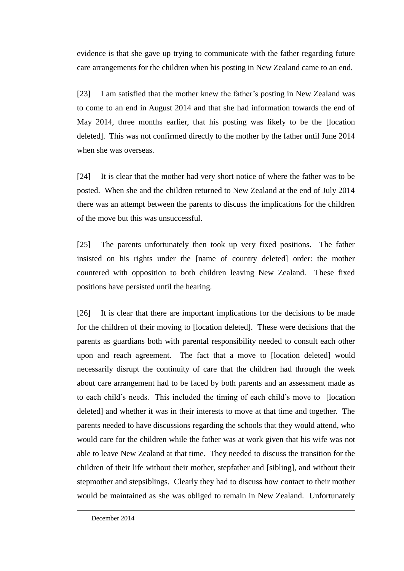evidence is that she gave up trying to communicate with the father regarding future care arrangements for the children when his posting in New Zealand came to an end.

[23] I am satisfied that the mother knew the father's posting in New Zealand was to come to an end in August 2014 and that she had information towards the end of May 2014, three months earlier, that his posting was likely to be the [location deleted]. This was not confirmed directly to the mother by the father until June 2014 when she was overseas.

[24] It is clear that the mother had very short notice of where the father was to be posted. When she and the children returned to New Zealand at the end of July 2014 there was an attempt between the parents to discuss the implications for the children of the move but this was unsuccessful.

[25] The parents unfortunately then took up very fixed positions. The father insisted on his rights under the [name of country deleted] order: the mother countered with opposition to both children leaving New Zealand. These fixed positions have persisted until the hearing.

[26] It is clear that there are important implications for the decisions to be made for the children of their moving to [location deleted]. These were decisions that the parents as guardians both with parental responsibility needed to consult each other upon and reach agreement. The fact that a move to [location deleted] would necessarily disrupt the continuity of care that the children had through the week about care arrangement had to be faced by both parents and an assessment made as to each child's needs. This included the timing of each child's move to [location deleted] and whether it was in their interests to move at that time and together. The parents needed to have discussions regarding the schools that they would attend, who would care for the children while the father was at work given that his wife was not able to leave New Zealand at that time. They needed to discuss the transition for the children of their life without their mother, stepfather and [sibling], and without their stepmother and stepsiblings. Clearly they had to discuss how contact to their mother would be maintained as she was obliged to remain in New Zealand. Unfortunately

 $\overline{a}$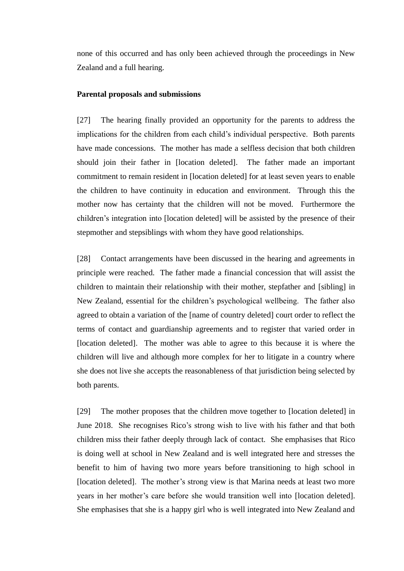none of this occurred and has only been achieved through the proceedings in New Zealand and a full hearing.

### **Parental proposals and submissions**

[27] The hearing finally provided an opportunity for the parents to address the implications for the children from each child's individual perspective. Both parents have made concessions. The mother has made a selfless decision that both children should join their father in [location deleted]. The father made an important commitment to remain resident in [location deleted] for at least seven years to enable the children to have continuity in education and environment. Through this the mother now has certainty that the children will not be moved. Furthermore the children's integration into [location deleted] will be assisted by the presence of their stepmother and stepsiblings with whom they have good relationships.

[28] Contact arrangements have been discussed in the hearing and agreements in principle were reached. The father made a financial concession that will assist the children to maintain their relationship with their mother, stepfather and [sibling] in New Zealand, essential for the children's psychological wellbeing. The father also agreed to obtain a variation of the [name of country deleted] court order to reflect the terms of contact and guardianship agreements and to register that varied order in [location deleted]. The mother was able to agree to this because it is where the children will live and although more complex for her to litigate in a country where she does not live she accepts the reasonableness of that jurisdiction being selected by both parents.

[29] The mother proposes that the children move together to [location deleted] in June 2018. She recognises Rico's strong wish to live with his father and that both children miss their father deeply through lack of contact. She emphasises that Rico is doing well at school in New Zealand and is well integrated here and stresses the benefit to him of having two more years before transitioning to high school in [location deleted]. The mother's strong view is that Marina needs at least two more years in her mother's care before she would transition well into [location deleted]. She emphasises that she is a happy girl who is well integrated into New Zealand and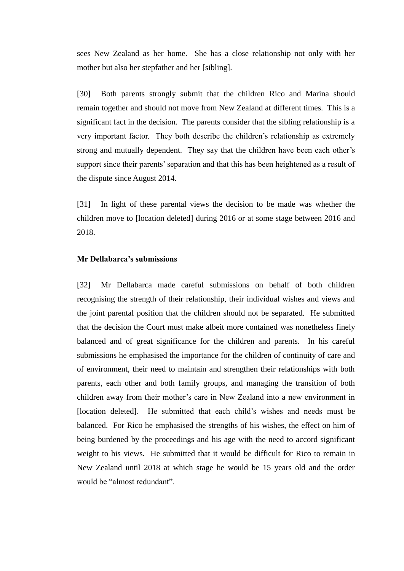sees New Zealand as her home. She has a close relationship not only with her mother but also her stepfather and her [sibling].

[30] Both parents strongly submit that the children Rico and Marina should remain together and should not move from New Zealand at different times. This is a significant fact in the decision. The parents consider that the sibling relationship is a very important factor. They both describe the children's relationship as extremely strong and mutually dependent. They say that the children have been each other's support since their parents' separation and that this has been heightened as a result of the dispute since August 2014.

[31] In light of these parental views the decision to be made was whether the children move to [location deleted] during 2016 or at some stage between 2016 and 2018.

### **Mr Dellabarca's submissions**

[32] Mr Dellabarca made careful submissions on behalf of both children recognising the strength of their relationship, their individual wishes and views and the joint parental position that the children should not be separated. He submitted that the decision the Court must make albeit more contained was nonetheless finely balanced and of great significance for the children and parents. In his careful submissions he emphasised the importance for the children of continuity of care and of environment, their need to maintain and strengthen their relationships with both parents, each other and both family groups, and managing the transition of both children away from their mother's care in New Zealand into a new environment in [location deleted]. He submitted that each child's wishes and needs must be balanced. For Rico he emphasised the strengths of his wishes, the effect on him of being burdened by the proceedings and his age with the need to accord significant weight to his views. He submitted that it would be difficult for Rico to remain in New Zealand until 2018 at which stage he would be 15 years old and the order would be "almost redundant".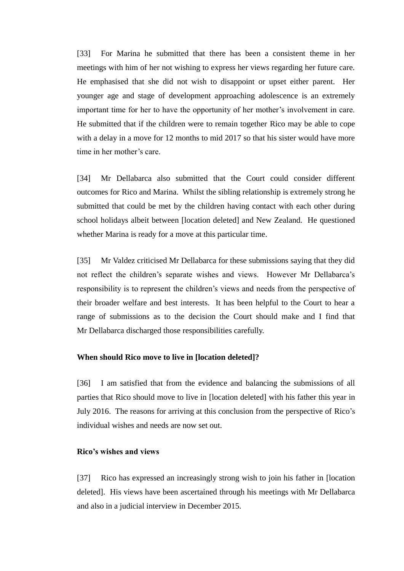[33] For Marina he submitted that there has been a consistent theme in her meetings with him of her not wishing to express her views regarding her future care. He emphasised that she did not wish to disappoint or upset either parent. Her younger age and stage of development approaching adolescence is an extremely important time for her to have the opportunity of her mother's involvement in care. He submitted that if the children were to remain together Rico may be able to cope with a delay in a move for 12 months to mid 2017 so that his sister would have more time in her mother's care.

[34] Mr Dellabarca also submitted that the Court could consider different outcomes for Rico and Marina. Whilst the sibling relationship is extremely strong he submitted that could be met by the children having contact with each other during school holidays albeit between [location deleted] and New Zealand. He questioned whether Marina is ready for a move at this particular time.

[35] Mr Valdez criticised Mr Dellabarca for these submissions saying that they did not reflect the children's separate wishes and views. However Mr Dellabarca's responsibility is to represent the children's views and needs from the perspective of their broader welfare and best interests. It has been helpful to the Court to hear a range of submissions as to the decision the Court should make and I find that Mr Dellabarca discharged those responsibilities carefully.

### **When should Rico move to live in [location deleted]?**

[36] I am satisfied that from the evidence and balancing the submissions of all parties that Rico should move to live in [location deleted] with his father this year in July 2016. The reasons for arriving at this conclusion from the perspective of Rico's individual wishes and needs are now set out.

## **Rico's wishes and views**

[37] Rico has expressed an increasingly strong wish to join his father in [location deleted]. His views have been ascertained through his meetings with Mr Dellabarca and also in a judicial interview in December 2015.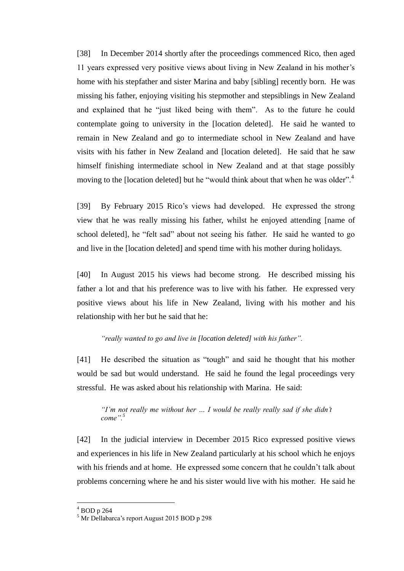[38] In December 2014 shortly after the proceedings commenced Rico, then aged 11 years expressed very positive views about living in New Zealand in his mother's home with his stepfather and sister Marina and baby [sibling] recently born. He was missing his father, enjoying visiting his stepmother and stepsiblings in New Zealand and explained that he "just liked being with them". As to the future he could contemplate going to university in the [location deleted]. He said he wanted to remain in New Zealand and go to intermediate school in New Zealand and have visits with his father in New Zealand and [location deleted]. He said that he saw himself finishing intermediate school in New Zealand and at that stage possibly moving to the [location deleted] but he "would think about that when he was older".<sup>4</sup>

[39] By February 2015 Rico's views had developed. He expressed the strong view that he was really missing his father, whilst he enjoyed attending [name of school deleted], he "felt sad" about not seeing his father. He said he wanted to go and live in the [location deleted] and spend time with his mother during holidays.

[40] In August 2015 his views had become strong. He described missing his father a lot and that his preference was to live with his father. He expressed very positive views about his life in New Zealand, living with his mother and his relationship with her but he said that he:

### *"really wanted to go and live in [location deleted] with his father".*

[41] He described the situation as "tough" and said he thought that his mother would be sad but would understand. He said he found the legal proceedings very stressful. He was asked about his relationship with Marina. He said:

*"I'm not really me without her … I would be really really sad if she didn't come".<sup>5</sup>*

[42] In the judicial interview in December 2015 Rico expressed positive views and experiences in his life in New Zealand particularly at his school which he enjoys with his friends and at home. He expressed some concern that he couldn't talk about problems concerning where he and his sister would live with his mother. He said he

 $\overline{a}$ 

<sup>4</sup> BOD p 264

<sup>5</sup> Mr Dellabarca's report August 2015 BOD p 298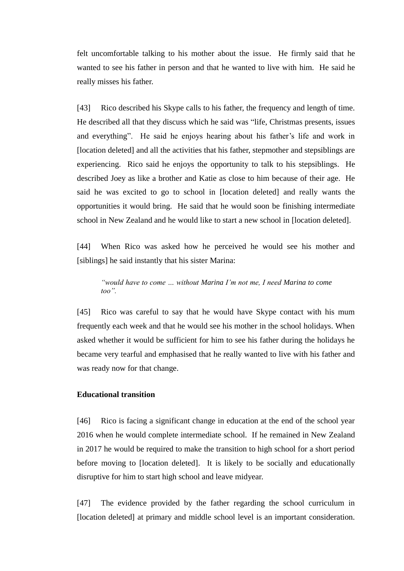felt uncomfortable talking to his mother about the issue. He firmly said that he wanted to see his father in person and that he wanted to live with him. He said he really misses his father.

[43] Rico described his Skype calls to his father, the frequency and length of time. He described all that they discuss which he said was "life, Christmas presents, issues and everything". He said he enjoys hearing about his father's life and work in [location deleted] and all the activities that his father, stepmother and stepsiblings are experiencing. Rico said he enjoys the opportunity to talk to his stepsiblings. He described Joey as like a brother and Katie as close to him because of their age. He said he was excited to go to school in [location deleted] and really wants the opportunities it would bring. He said that he would soon be finishing intermediate school in New Zealand and he would like to start a new school in [location deleted].

[44] When Rico was asked how he perceived he would see his mother and [siblings] he said instantly that his sister Marina:

*"would have to come … without Marina I'm not me, I need Marina to come too".*

[45] Rico was careful to say that he would have Skype contact with his mum frequently each week and that he would see his mother in the school holidays. When asked whether it would be sufficient for him to see his father during the holidays he became very tearful and emphasised that he really wanted to live with his father and was ready now for that change.

## **Educational transition**

[46] Rico is facing a significant change in education at the end of the school year 2016 when he would complete intermediate school. If he remained in New Zealand in 2017 he would be required to make the transition to high school for a short period before moving to [location deleted]. It is likely to be socially and educationally disruptive for him to start high school and leave midyear.

[47] The evidence provided by the father regarding the school curriculum in [location deleted] at primary and middle school level is an important consideration.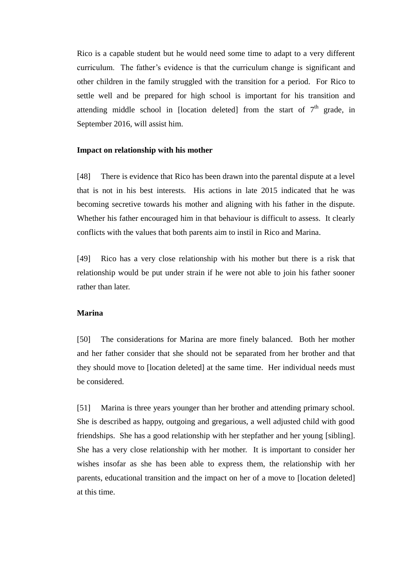Rico is a capable student but he would need some time to adapt to a very different curriculum. The father's evidence is that the curriculum change is significant and other children in the family struggled with the transition for a period. For Rico to settle well and be prepared for high school is important for his transition and attending middle school in [location deleted] from the start of  $7<sup>th</sup>$  grade, in September 2016, will assist him.

#### **Impact on relationship with his mother**

[48] There is evidence that Rico has been drawn into the parental dispute at a level that is not in his best interests. His actions in late 2015 indicated that he was becoming secretive towards his mother and aligning with his father in the dispute. Whether his father encouraged him in that behaviour is difficult to assess. It clearly conflicts with the values that both parents aim to instil in Rico and Marina.

[49] Rico has a very close relationship with his mother but there is a risk that relationship would be put under strain if he were not able to join his father sooner rather than later.

#### **Marina**

[50] The considerations for Marina are more finely balanced. Both her mother and her father consider that she should not be separated from her brother and that they should move to [location deleted] at the same time. Her individual needs must be considered.

[51] Marina is three years younger than her brother and attending primary school. She is described as happy, outgoing and gregarious, a well adjusted child with good friendships. She has a good relationship with her stepfather and her young [sibling]. She has a very close relationship with her mother. It is important to consider her wishes insofar as she has been able to express them, the relationship with her parents, educational transition and the impact on her of a move to [location deleted] at this time.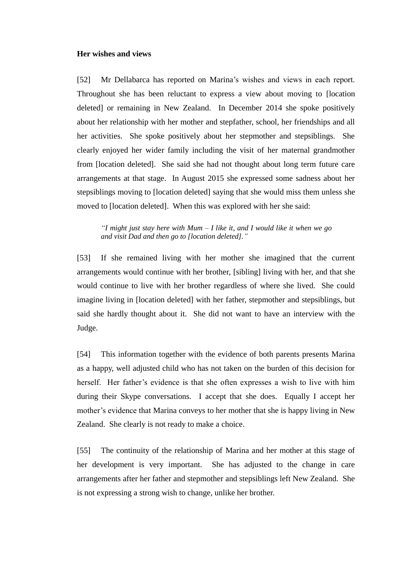#### **Her wishes and views**

[52] Mr Dellabarca has reported on Marina's wishes and views in each report. Throughout she has been reluctant to express a view about moving to [location deleted] or remaining in New Zealand. In December 2014 she spoke positively about her relationship with her mother and stepfather, school, her friendships and all her activities. She spoke positively about her stepmother and stepsiblings. She clearly enjoyed her wider family including the visit of her maternal grandmother from [location deleted]. She said she had not thought about long term future care arrangements at that stage. In August 2015 she expressed some sadness about her stepsiblings moving to [location deleted] saying that she would miss them unless she moved to [location deleted]. When this was explored with her she said:

*"I might just stay here with Mum – I like it, and I would like it when we go and visit Dad and then go to [location deleted]."*

[53] If she remained living with her mother she imagined that the current arrangements would continue with her brother, [sibling] living with her, and that she would continue to live with her brother regardless of where she lived. She could imagine living in [location deleted] with her father, stepmother and stepsiblings, but said she hardly thought about it. She did not want to have an interview with the Judge.

[54] This information together with the evidence of both parents presents Marina as a happy, well adjusted child who has not taken on the burden of this decision for herself. Her father's evidence is that she often expresses a wish to live with him during their Skype conversations. I accept that she does. Equally I accept her mother's evidence that Marina conveys to her mother that she is happy living in New Zealand. She clearly is not ready to make a choice.

[55] The continuity of the relationship of Marina and her mother at this stage of her development is very important. She has adjusted to the change in care arrangements after her father and stepmother and stepsiblings left New Zealand. She is not expressing a strong wish to change, unlike her brother.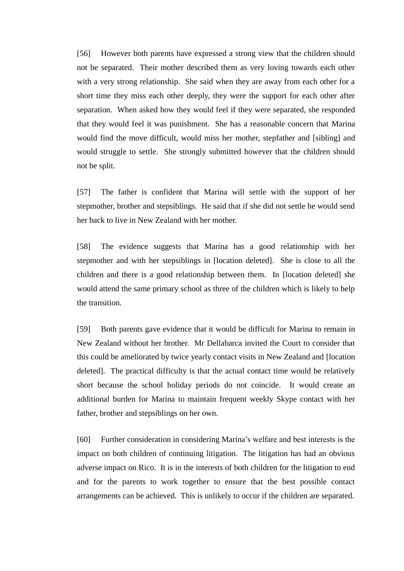[56] However both parents have expressed a strong view that the children should not be separated. Their mother described them as very loving towards each other with a very strong relationship. She said when they are away from each other for a short time they miss each other deeply, they were the support for each other after separation. When asked how they would feel if they were separated, she responded that they would feel it was punishment. She has a reasonable concern that Marina would find the move difficult, would miss her mother, stepfather and [sibling] and would struggle to settle. She strongly submitted however that the children should not be split.

[57] The father is confident that Marina will settle with the support of her stepmother, brother and stepsiblings. He said that if she did not settle he would send her back to live in New Zealand with her mother.

[58] The evidence suggests that Marina has a good relationship with her stepmother and with her stepsiblings in [location deleted]. She is close to all the children and there is a good relationship between them. In [location deleted] she would attend the same primary school as three of the children which is likely to help the transition.

[59] Both parents gave evidence that it would be difficult for Marina to remain in New Zealand without her brother. Mr Dellabarca invited the Court to consider that this could be ameliorated by twice yearly contact visits in New Zealand and [location deleted]. The practical difficulty is that the actual contact time would be relatively short because the school holiday periods do not coincide. It would create an additional burden for Marina to maintain frequent weekly Skype contact with her father, brother and stepsiblings on her own.

[60] Further consideration in considering Marina's welfare and best interests is the impact on both children of continuing litigation. The litigation has had an obvious adverse impact on Rico. It is in the interests of both children for the litigation to end and for the parents to work together to ensure that the best possible contact arrangements can be achieved. This is unlikely to occur if the children are separated.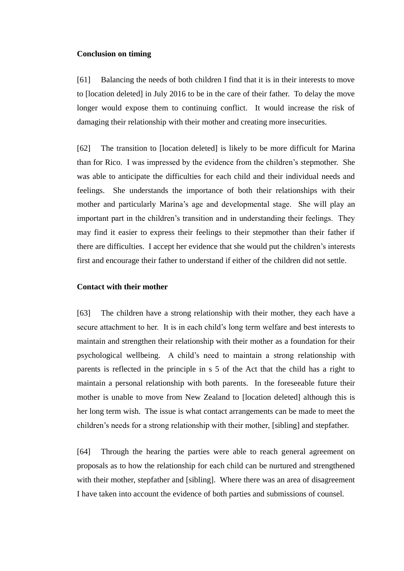#### **Conclusion on timing**

[61] Balancing the needs of both children I find that it is in their interests to move to [location deleted] in July 2016 to be in the care of their father. To delay the move longer would expose them to continuing conflict. It would increase the risk of damaging their relationship with their mother and creating more insecurities.

[62] The transition to [location deleted] is likely to be more difficult for Marina than for Rico. I was impressed by the evidence from the children's stepmother. She was able to anticipate the difficulties for each child and their individual needs and feelings. She understands the importance of both their relationships with their mother and particularly Marina's age and developmental stage. She will play an important part in the children's transition and in understanding their feelings. They may find it easier to express their feelings to their stepmother than their father if there are difficulties. I accept her evidence that she would put the children's interests first and encourage their father to understand if either of the children did not settle.

#### **Contact with their mother**

[63] The children have a strong relationship with their mother, they each have a secure attachment to her. It is in each child's long term welfare and best interests to maintain and strengthen their relationship with their mother as a foundation for their psychological wellbeing. A child's need to maintain a strong relationship with parents is reflected in the principle in s 5 of the Act that the child has a right to maintain a personal relationship with both parents. In the foreseeable future their mother is unable to move from New Zealand to [location deleted] although this is her long term wish. The issue is what contact arrangements can be made to meet the children's needs for a strong relationship with their mother, [sibling] and stepfather.

[64] Through the hearing the parties were able to reach general agreement on proposals as to how the relationship for each child can be nurtured and strengthened with their mother, stepfather and [sibling]. Where there was an area of disagreement I have taken into account the evidence of both parties and submissions of counsel.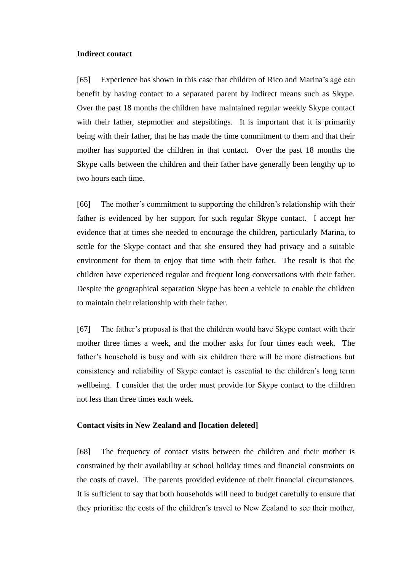#### **Indirect contact**

[65] Experience has shown in this case that children of Rico and Marina's age can benefit by having contact to a separated parent by indirect means such as Skype. Over the past 18 months the children have maintained regular weekly Skype contact with their father, stepmother and stepsiblings. It is important that it is primarily being with their father, that he has made the time commitment to them and that their mother has supported the children in that contact. Over the past 18 months the Skype calls between the children and their father have generally been lengthy up to two hours each time.

[66] The mother's commitment to supporting the children's relationship with their father is evidenced by her support for such regular Skype contact. I accept her evidence that at times she needed to encourage the children, particularly Marina, to settle for the Skype contact and that she ensured they had privacy and a suitable environment for them to enjoy that time with their father. The result is that the children have experienced regular and frequent long conversations with their father. Despite the geographical separation Skype has been a vehicle to enable the children to maintain their relationship with their father.

[67] The father's proposal is that the children would have Skype contact with their mother three times a week, and the mother asks for four times each week. The father's household is busy and with six children there will be more distractions but consistency and reliability of Skype contact is essential to the children's long term wellbeing. I consider that the order must provide for Skype contact to the children not less than three times each week.

## **Contact visits in New Zealand and [location deleted]**

[68] The frequency of contact visits between the children and their mother is constrained by their availability at school holiday times and financial constraints on the costs of travel. The parents provided evidence of their financial circumstances. It is sufficient to say that both households will need to budget carefully to ensure that they prioritise the costs of the children's travel to New Zealand to see their mother,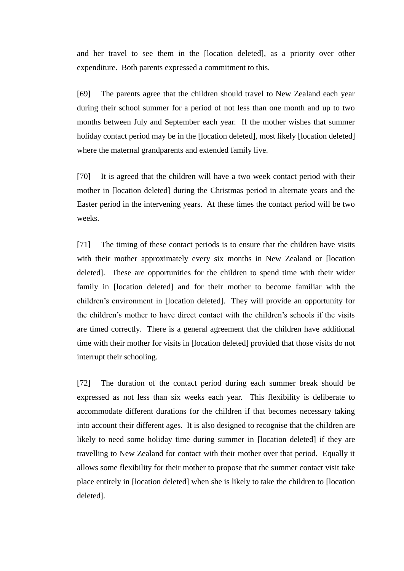and her travel to see them in the [location deleted], as a priority over other expenditure. Both parents expressed a commitment to this.

[69] The parents agree that the children should travel to New Zealand each year during their school summer for a period of not less than one month and up to two months between July and September each year. If the mother wishes that summer holiday contact period may be in the [location deleted], most likely [location deleted] where the maternal grandparents and extended family live.

[70] It is agreed that the children will have a two week contact period with their mother in [location deleted] during the Christmas period in alternate years and the Easter period in the intervening years. At these times the contact period will be two weeks.

[71] The timing of these contact periods is to ensure that the children have visits with their mother approximately every six months in New Zealand or [location deleted]. These are opportunities for the children to spend time with their wider family in [location deleted] and for their mother to become familiar with the children's environment in [location deleted]. They will provide an opportunity for the children's mother to have direct contact with the children's schools if the visits are timed correctly. There is a general agreement that the children have additional time with their mother for visits in [location deleted] provided that those visits do not interrupt their schooling.

[72] The duration of the contact period during each summer break should be expressed as not less than six weeks each year. This flexibility is deliberate to accommodate different durations for the children if that becomes necessary taking into account their different ages. It is also designed to recognise that the children are likely to need some holiday time during summer in [location deleted] if they are travelling to New Zealand for contact with their mother over that period. Equally it allows some flexibility for their mother to propose that the summer contact visit take place entirely in [location deleted] when she is likely to take the children to [location deleted].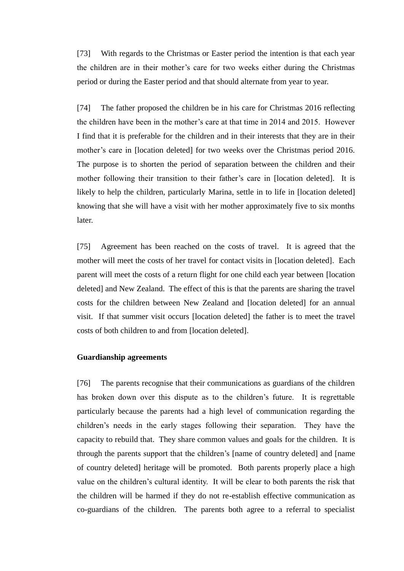[73] With regards to the Christmas or Easter period the intention is that each year the children are in their mother's care for two weeks either during the Christmas period or during the Easter period and that should alternate from year to year.

[74] The father proposed the children be in his care for Christmas 2016 reflecting the children have been in the mother's care at that time in 2014 and 2015. However I find that it is preferable for the children and in their interests that they are in their mother's care in [location deleted] for two weeks over the Christmas period 2016. The purpose is to shorten the period of separation between the children and their mother following their transition to their father's care in [location deleted]. It is likely to help the children, particularly Marina, settle in to life in [location deleted] knowing that she will have a visit with her mother approximately five to six months later.

[75] Agreement has been reached on the costs of travel. It is agreed that the mother will meet the costs of her travel for contact visits in [location deleted]. Each parent will meet the costs of a return flight for one child each year between [location deleted] and New Zealand. The effect of this is that the parents are sharing the travel costs for the children between New Zealand and [location deleted] for an annual visit. If that summer visit occurs [location deleted] the father is to meet the travel costs of both children to and from [location deleted].

### **Guardianship agreements**

[76] The parents recognise that their communications as guardians of the children has broken down over this dispute as to the children's future. It is regrettable particularly because the parents had a high level of communication regarding the children's needs in the early stages following their separation. They have the capacity to rebuild that. They share common values and goals for the children. It is through the parents support that the children's [name of country deleted] and [name of country deleted] heritage will be promoted. Both parents properly place a high value on the children's cultural identity. It will be clear to both parents the risk that the children will be harmed if they do not re-establish effective communication as co-guardians of the children. The parents both agree to a referral to specialist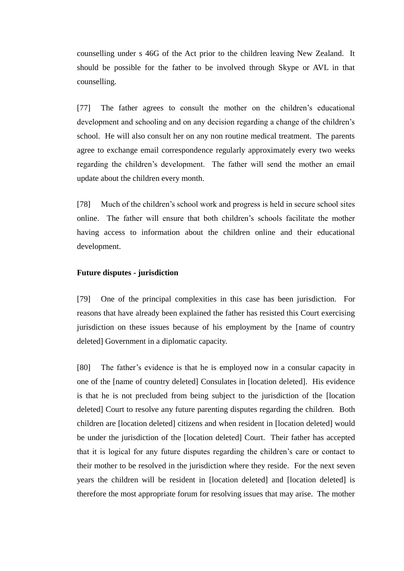counselling under s 46G of the Act prior to the children leaving New Zealand. It should be possible for the father to be involved through Skype or AVL in that counselling.

[77] The father agrees to consult the mother on the children's educational development and schooling and on any decision regarding a change of the children's school. He will also consult her on any non routine medical treatment. The parents agree to exchange email correspondence regularly approximately every two weeks regarding the children's development. The father will send the mother an email update about the children every month.

[78] Much of the children's school work and progress is held in secure school sites online. The father will ensure that both children's schools facilitate the mother having access to information about the children online and their educational development.

## **Future disputes - jurisdiction**

[79] One of the principal complexities in this case has been jurisdiction. For reasons that have already been explained the father has resisted this Court exercising jurisdiction on these issues because of his employment by the [name of country deleted] Government in a diplomatic capacity.

[80] The father's evidence is that he is employed now in a consular capacity in one of the [name of country deleted] Consulates in [location deleted]. His evidence is that he is not precluded from being subject to the jurisdiction of the [location deleted] Court to resolve any future parenting disputes regarding the children. Both children are [location deleted] citizens and when resident in [location deleted] would be under the jurisdiction of the [location deleted] Court. Their father has accepted that it is logical for any future disputes regarding the children's care or contact to their mother to be resolved in the jurisdiction where they reside. For the next seven years the children will be resident in [location deleted] and [location deleted] is therefore the most appropriate forum for resolving issues that may arise. The mother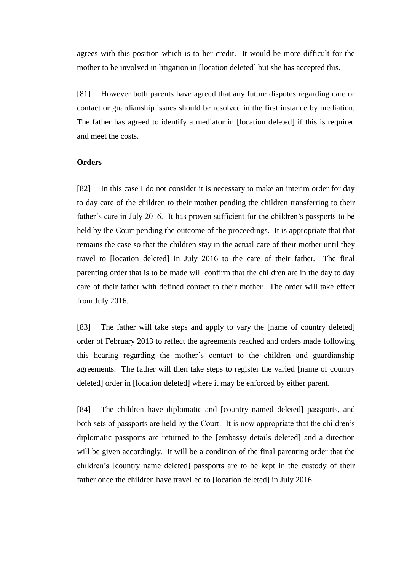agrees with this position which is to her credit. It would be more difficult for the mother to be involved in litigation in [location deleted] but she has accepted this.

[81] However both parents have agreed that any future disputes regarding care or contact or guardianship issues should be resolved in the first instance by mediation. The father has agreed to identify a mediator in [location deleted] if this is required and meet the costs.

## **Orders**

[82] In this case I do not consider it is necessary to make an interim order for day to day care of the children to their mother pending the children transferring to their father's care in July 2016. It has proven sufficient for the children's passports to be held by the Court pending the outcome of the proceedings. It is appropriate that that remains the case so that the children stay in the actual care of their mother until they travel to [location deleted] in July 2016 to the care of their father. The final parenting order that is to be made will confirm that the children are in the day to day care of their father with defined contact to their mother. The order will take effect from July 2016.

[83] The father will take steps and apply to vary the [name of country deleted] order of February 2013 to reflect the agreements reached and orders made following this hearing regarding the mother's contact to the children and guardianship agreements. The father will then take steps to register the varied [name of country deleted] order in [location deleted] where it may be enforced by either parent.

[84] The children have diplomatic and [country named deleted] passports, and both sets of passports are held by the Court. It is now appropriate that the children's diplomatic passports are returned to the [embassy details deleted] and a direction will be given accordingly. It will be a condition of the final parenting order that the children's [country name deleted] passports are to be kept in the custody of their father once the children have travelled to [location deleted] in July 2016.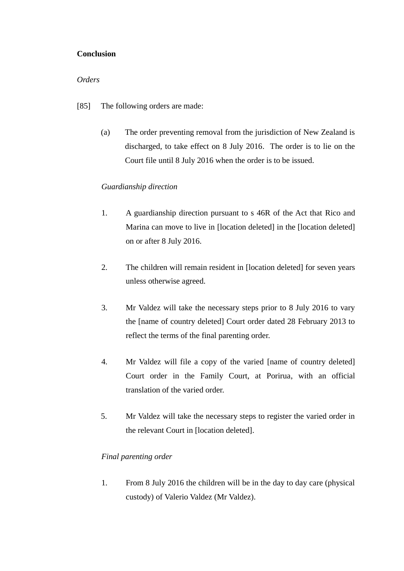# **Conclusion**

# *Orders*

- [85] The following orders are made:
	- (a) The order preventing removal from the jurisdiction of New Zealand is discharged, to take effect on 8 July 2016. The order is to lie on the Court file until 8 July 2016 when the order is to be issued.

# *Guardianship direction*

- 1. A guardianship direction pursuant to s 46R of the Act that Rico and Marina can move to live in [location deleted] in the [location deleted] on or after 8 July 2016.
- 2. The children will remain resident in [location deleted] for seven years unless otherwise agreed.
- 3. Mr Valdez will take the necessary steps prior to 8 July 2016 to vary the [name of country deleted] Court order dated 28 February 2013 to reflect the terms of the final parenting order.
- 4. Mr Valdez will file a copy of the varied [name of country deleted] Court order in the Family Court, at Porirua, with an official translation of the varied order.
- 5. Mr Valdez will take the necessary steps to register the varied order in the relevant Court in [location deleted].

# *Final parenting order*

1. From 8 July 2016 the children will be in the day to day care (physical custody) of Valerio Valdez (Mr Valdez).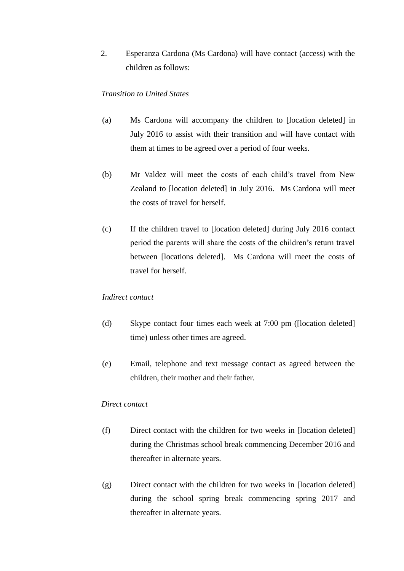2. Esperanza Cardona (Ms Cardona) will have contact (access) with the children as follows:

## *Transition to United States*

- (a) Ms Cardona will accompany the children to [location deleted] in July 2016 to assist with their transition and will have contact with them at times to be agreed over a period of four weeks.
- (b) Mr Valdez will meet the costs of each child's travel from New Zealand to [location deleted] in July 2016. Ms Cardona will meet the costs of travel for herself.
- (c) If the children travel to [location deleted] during July 2016 contact period the parents will share the costs of the children's return travel between [locations deleted]. Ms Cardona will meet the costs of travel for herself.

### *Indirect contact*

- (d) Skype contact four times each week at 7:00 pm ([location deleted] time) unless other times are agreed.
- (e) Email, telephone and text message contact as agreed between the children, their mother and their father.

### *Direct contact*

- (f) Direct contact with the children for two weeks in [location deleted] during the Christmas school break commencing December 2016 and thereafter in alternate years.
- (g) Direct contact with the children for two weeks in [location deleted] during the school spring break commencing spring 2017 and thereafter in alternate years.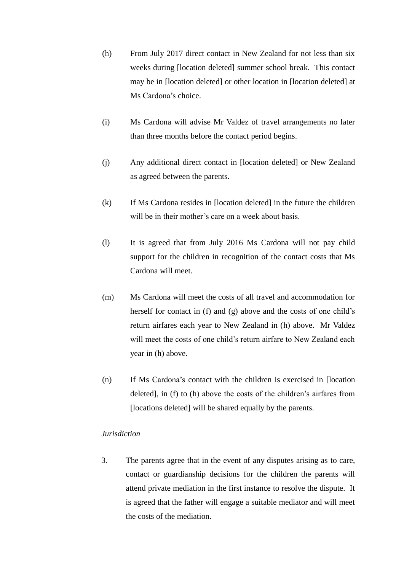- (h) From July 2017 direct contact in New Zealand for not less than six weeks during [location deleted] summer school break. This contact may be in [location deleted] or other location in [location deleted] at Ms Cardona's choice.
- (i) Ms Cardona will advise Mr Valdez of travel arrangements no later than three months before the contact period begins.
- (j) Any additional direct contact in [location deleted] or New Zealand as agreed between the parents.
- (k) If Ms Cardona resides in [location deleted] in the future the children will be in their mother's care on a week about basis.
- (l) It is agreed that from July 2016 Ms Cardona will not pay child support for the children in recognition of the contact costs that Ms Cardona will meet.
- (m) Ms Cardona will meet the costs of all travel and accommodation for herself for contact in (f) and (g) above and the costs of one child's return airfares each year to New Zealand in (h) above. Mr Valdez will meet the costs of one child's return airfare to New Zealand each year in (h) above.
- (n) If Ms Cardona's contact with the children is exercised in [location deleted], in (f) to (h) above the costs of the children's airfares from [locations deleted] will be shared equally by the parents.

## *Jurisdiction*

3. The parents agree that in the event of any disputes arising as to care, contact or guardianship decisions for the children the parents will attend private mediation in the first instance to resolve the dispute. It is agreed that the father will engage a suitable mediator and will meet the costs of the mediation.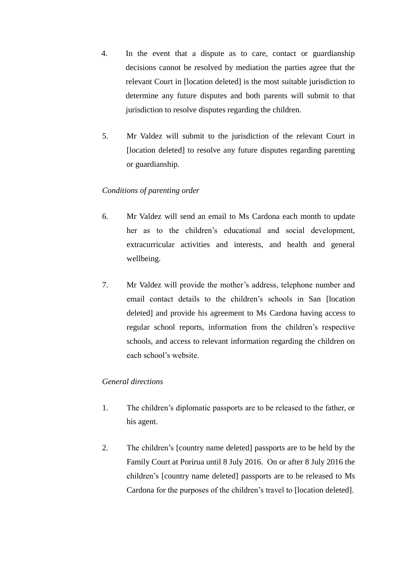- 4. In the event that a dispute as to care, contact or guardianship decisions cannot be resolved by mediation the parties agree that the relevant Court in [location deleted] is the most suitable jurisdiction to determine any future disputes and both parents will submit to that jurisdiction to resolve disputes regarding the children.
- 5. Mr Valdez will submit to the jurisdiction of the relevant Court in [location deleted] to resolve any future disputes regarding parenting or guardianship.

# *Conditions of parenting order*

- 6. Mr Valdez will send an email to Ms Cardona each month to update her as to the children's educational and social development, extracurricular activities and interests, and health and general wellbeing.
- 7. Mr Valdez will provide the mother's address, telephone number and email contact details to the children's schools in San [location deleted] and provide his agreement to Ms Cardona having access to regular school reports, information from the children's respective schools, and access to relevant information regarding the children on each school's website.

# *General directions*

- 1. The children's diplomatic passports are to be released to the father, or his agent.
- 2. The children's [country name deleted] passports are to be held by the Family Court at Porirua until 8 July 2016. On or after 8 July 2016 the children's [country name deleted] passports are to be released to Ms Cardona for the purposes of the children's travel to [location deleted].